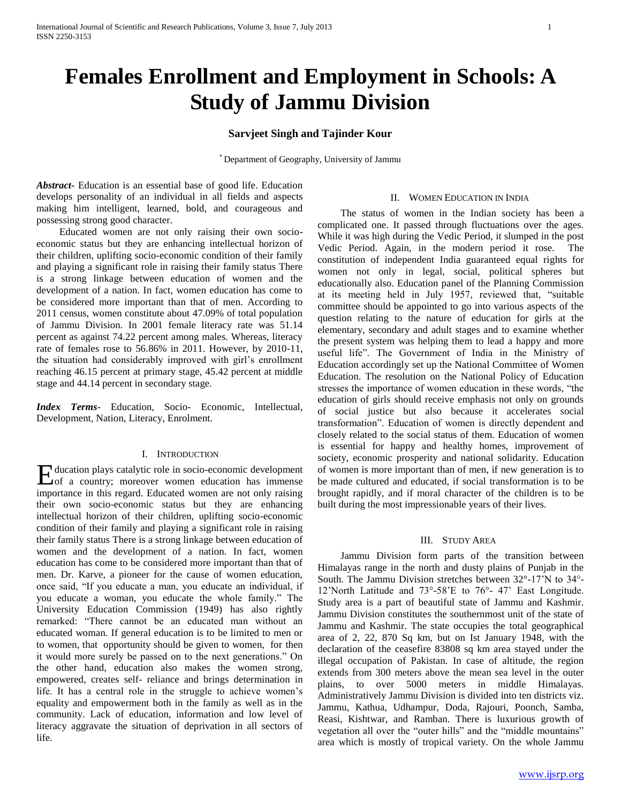# **Females Enrollment and Employment in Schools: A Study of Jammu Division**

# **Sarvjeet Singh and Tajinder Kour**

\* Department of Geography, University of Jammu

*Abstract***-** Education is an essential base of good life. Education develops personality of an individual in all fields and aspects making him intelligent, learned, bold, and courageous and possessing strong good character.

 Educated women are not only raising their own socioeconomic status but they are enhancing intellectual horizon of their children, uplifting socio-economic condition of their family and playing a significant role in raising their family status There is a strong linkage between education of women and the development of a nation. In fact, women education has come to be considered more important than that of men. According to 2011 census, women constitute about 47.09% of total population of Jammu Division. In 2001 female literacy rate was 51.14 percent as against 74.22 percent among males. Whereas, literacy rate of females rose to 56.86% in 2011. However, by 2010-11, the situation had considerably improved with girl's enrollment reaching 46.15 percent at primary stage, 45.42 percent at middle stage and 44.14 percent in secondary stage.

*Index Terms*- Education, Socio- Economic, Intellectual, Development, Nation, Literacy, Enrolment.

## I. INTRODUCTION

ducation plays catalytic role in socio-economic development Education plays catalytic role in socio-economic development<br>
cof a country; moreover women education has immense importance in this regard. Educated women are not only raising their own socio-economic status but they are enhancing intellectual horizon of their children, uplifting socio-economic condition of their family and playing a significant role in raising their family status There is a strong linkage between education of women and the development of a nation. In fact, women education has come to be considered more important than that of men. Dr. Karve, a pioneer for the cause of women education, once said, "If you educate a man, you educate an individual, if you educate a woman, you educate the whole family." The University Education Commission (1949) has also rightly remarked: "There cannot be an educated man without an educated woman. If general education is to be limited to men or to women, that opportunity should be given to women, for then it would more surely be passed on to the next generations." On the other hand, education also makes the women strong, empowered, creates self- reliance and brings determination in life. It has a central role in the struggle to achieve women's equality and empowerment both in the family as well as in the community. Lack of education, information and low level of literacy aggravate the situation of deprivation in all sectors of life.

#### II. WOMEN EDUCATION IN INDIA

 The status of women in the Indian society has been a complicated one. It passed through fluctuations over the ages. While it was high during the Vedic Period, it slumped in the post Vedic Period. Again, in the modern period it rose. The constitution of independent India guaranteed equal rights for women not only in legal, social, political spheres but educationally also. Education panel of the Planning Commission at its meeting held in July 1957, reviewed that, "suitable committee should be appointed to go into various aspects of the question relating to the nature of education for girls at the elementary, secondary and adult stages and to examine whether the present system was helping them to lead a happy and more useful life". The Government of India in the Ministry of Education accordingly set up the National Committee of Women Education. The resolution on the National Policy of Education stresses the importance of women education in these words, "the education of girls should receive emphasis not only on grounds of social justice but also because it accelerates social transformation". Education of women is directly dependent and closely related to the social status of them. Education of women is essential for happy and healthy homes, improvement of society, economic prosperity and national solidarity. Education of women is more important than of men, if new generation is to be made cultured and educated, if social transformation is to be brought rapidly, and if moral character of the children is to be built during the most impressionable years of their lives.

#### III. STUDY AREA

 Jammu Division form parts of the transition between Himalayas range in the north and dusty plains of Punjab in the South. The Jammu Division stretches between 32°-17'N to 34°- 12'North Latitude and 73°-58'E to 76°- 47' East Longitude. Study area is a part of beautiful state of Jammu and Kashmir. Jammu Division constitutes the southernmost unit of the state of Jammu and Kashmir. The state occupies the total geographical area of 2, 22, 870 Sq km, but on Ist January 1948, with the declaration of the ceasefire 83808 sq km area stayed under the illegal occupation of Pakistan. In case of altitude, the region extends from 300 meters above the mean sea level in the outer plains, to over 5000 meters in middle Himalayas. Administratively Jammu Division is divided into ten districts viz. Jammu, Kathua, Udhampur, Doda, Rajouri, Poonch, Samba, Reasi, Kishtwar, and Ramban. There is luxurious growth of vegetation all over the "outer hills" and the "middle mountains" area which is mostly of tropical variety. On the whole Jammu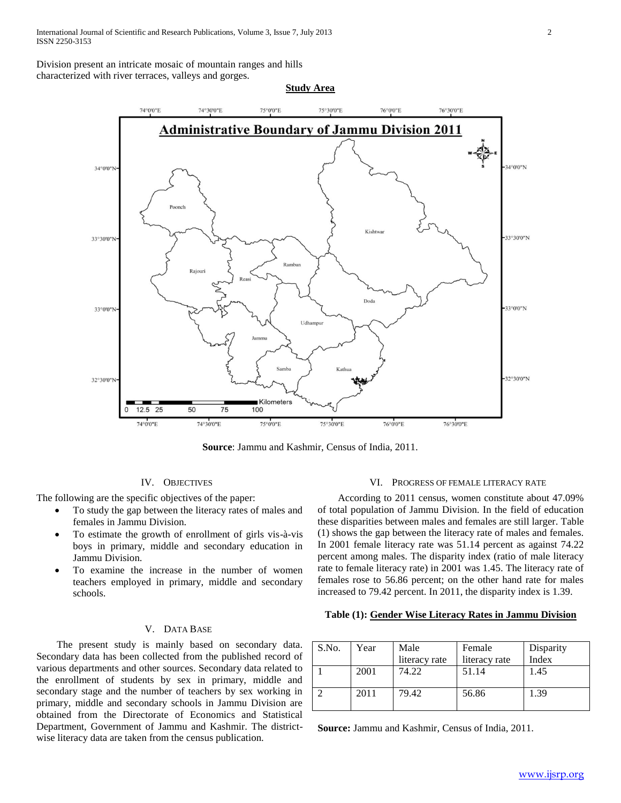Division present an intricate mosaic of mountain ranges and hills characterized with river terraces, valleys and gorges.



**Source**: Jammu and Kashmir, Census of India, 2011.

#### IV. OBJECTIVES

The following are the specific objectives of the paper:

- To study the gap between the literacy rates of males and females in Jammu Division.
- To estimate the growth of enrollment of girls vis-à-vis boys in primary, middle and secondary education in Jammu Division.
- To examine the increase in the number of women teachers employed in primary, middle and secondary schools.

# V. DATA BASE

 The present study is mainly based on secondary data. Secondary data has been collected from the published record of various departments and other sources. Secondary data related to the enrollment of students by sex in primary, middle and secondary stage and the number of teachers by sex working in primary, middle and secondary schools in Jammu Division are obtained from the Directorate of Economics and Statistical Department, Government of Jammu and Kashmir. The districtwise literacy data are taken from the census publication.

## VI. PROGRESS OF FEMALE LITERACY RATE

 According to 2011 census, women constitute about 47.09% of total population of Jammu Division. In the field of education these disparities between males and females are still larger. Table (1) shows the gap between the literacy rate of males and females. In 2001 female literacy rate was 51.14 percent as against 74.22 percent among males. The disparity index (ratio of male literacy rate to female literacy rate) in 2001 was 1.45. The literacy rate of females rose to 56.86 percent; on the other hand rate for males increased to 79.42 percent. In 2011, the disparity index is 1.39.

#### **Table (1): Gender Wise Literacy Rates in Jammu Division**

| S.No. | Year | Male<br>literacy rate | Female<br>literacy rate | Disparity<br>Index |
|-------|------|-----------------------|-------------------------|--------------------|
|       | 2001 | 74.22                 | 51.14                   | 1.45               |
|       | 2011 | 79.42                 | 56.86                   | 1.39               |

**Source:** Jammu and Kashmir, Census of India, 2011.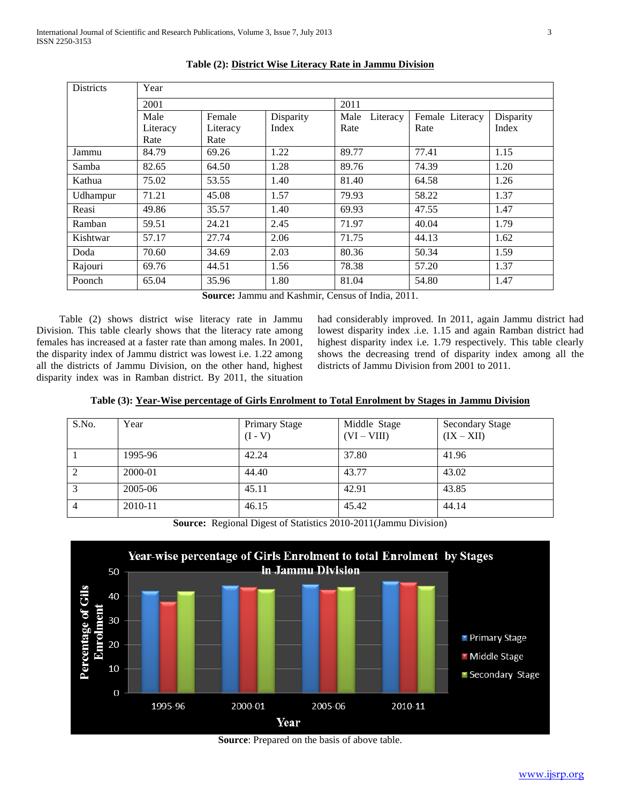| <b>Districts</b> | Year     |          |           |                  |                 |           |  |
|------------------|----------|----------|-----------|------------------|-----------------|-----------|--|
|                  | 2001     |          |           | 2011             |                 |           |  |
|                  | Male     | Female   | Disparity | Male<br>Literacy | Female Literacy | Disparity |  |
|                  | Literacy | Literacy | Index     | Rate             | Rate            | Index     |  |
|                  | Rate     | Rate     |           |                  |                 |           |  |
| Jammu            | 84.79    | 69.26    | 1.22      | 89.77            | 77.41           | 1.15      |  |
| Samba            | 82.65    | 64.50    | 1.28      | 89.76            | 74.39           | 1.20      |  |
| Kathua           | 75.02    | 53.55    | 1.40      | 81.40            | 64.58           | 1.26      |  |
| Udhampur         | 71.21    | 45.08    | 1.57      | 79.93            | 58.22           | 1.37      |  |
| Reasi            | 49.86    | 35.57    | 1.40      | 69.93            | 47.55           | 1.47      |  |
| Ramban           | 59.51    | 24.21    | 2.45      | 71.97            | 40.04           | 1.79      |  |
| Kishtwar         | 57.17    | 27.74    | 2.06      | 71.75            | 44.13           | 1.62      |  |
| Doda             | 70.60    | 34.69    | 2.03      | 80.36            | 50.34           | 1.59      |  |
| Rajouri          | 69.76    | 44.51    | 1.56      | 78.38            | 57.20           | 1.37      |  |
| Poonch           | 65.04    | 35.96    | 1.80      | 81.04            | 54.80           | 1.47      |  |

**Table (2): District Wise Literacy Rate in Jammu Division**

**Source:** Jammu and Kashmir, Census of India, 2011.

 Table (2) shows district wise literacy rate in Jammu Division. This table clearly shows that the literacy rate among females has increased at a faster rate than among males. In 2001, the disparity index of Jammu district was lowest i.e. 1.22 among all the districts of Jammu Division, on the other hand, highest disparity index was in Ramban district. By 2011, the situation

had considerably improved. In 2011, again Jammu district had lowest disparity index .i.e. 1.15 and again Ramban district had highest disparity index i.e. 1.79 respectively. This table clearly shows the decreasing trend of disparity index among all the districts of Jammu Division from 2001 to 2011.

|  | Table (3): Year-Wise percentage of Girls Enrolment to Total Enrolment by Stages in Jammu Division |  |  |  |  |
|--|---------------------------------------------------------------------------------------------------|--|--|--|--|
|  |                                                                                                   |  |  |  |  |

| S.No.          | Year    | <b>Primary Stage</b><br>$(I - V)$ | Middle Stage<br>$(VI - VIII)$ | <b>Secondary Stage</b><br>$(IX - XII)$ |
|----------------|---------|-----------------------------------|-------------------------------|----------------------------------------|
|                | 1995-96 | 42.24                             | 37.80                         | 41.96                                  |
| 2              | 2000-01 | 44.40                             | 43.77                         | 43.02                                  |
| 3              | 2005-06 | 45.11                             | 42.91                         | 43.85                                  |
| $\overline{4}$ | 2010-11 | 46.15                             | 45.42                         | 44.14                                  |

**Source:** Regional Digest of Statistics 2010-2011(Jammu Division)



**Source**: Prepared on the basis of above table.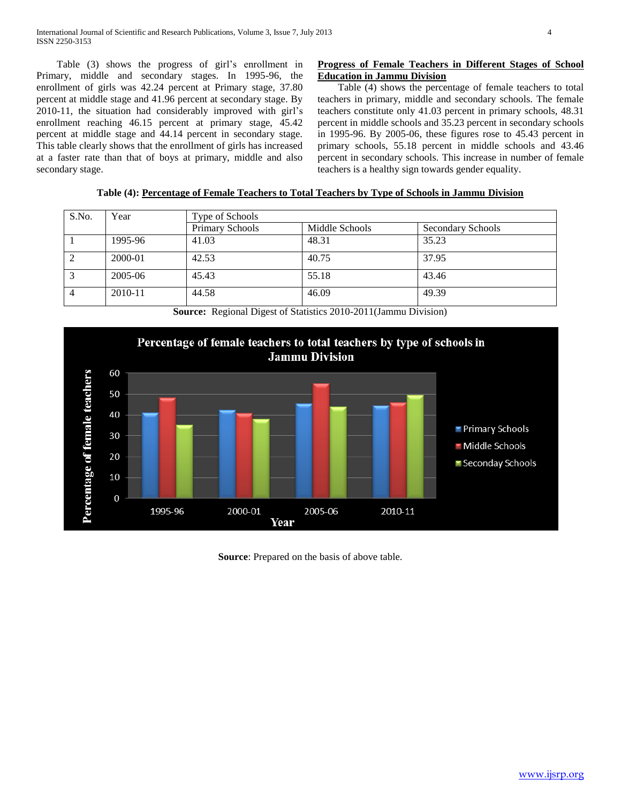Table (3) shows the progress of girl's enrollment in Primary, middle and secondary stages. In 1995-96, the enrollment of girls was 42.24 percent at Primary stage, 37.80 percent at middle stage and 41.96 percent at secondary stage. By 2010-11, the situation had considerably improved with girl's enrollment reaching 46.15 percent at primary stage, 45.42 percent at middle stage and 44.14 percent in secondary stage. This table clearly shows that the enrollment of girls has increased at a faster rate than that of boys at primary, middle and also secondary stage.

# **Progress of Female Teachers in Different Stages of School Education in Jammu Division**

 Table (4) shows the percentage of female teachers to total teachers in primary, middle and secondary schools. The female teachers constitute only 41.03 percent in primary schools, 48.31 percent in middle schools and 35.23 percent in secondary schools in 1995-96. By 2005-06, these figures rose to 45.43 percent in primary schools, 55.18 percent in middle schools and 43.46 percent in secondary schools. This increase in number of female teachers is a healthy sign towards gender equality.

|  |  | Table (4): Percentage of Female Teachers to Total Teachers by Type of Schools in Jammu Division |  |
|--|--|-------------------------------------------------------------------------------------------------|--|
|  |  |                                                                                                 |  |

| S.No. | Year    | Type of Schools |                |                   |  |  |
|-------|---------|-----------------|----------------|-------------------|--|--|
|       |         | Primary Schools | Middle Schools | Secondary Schools |  |  |
|       | 1995-96 | 41.03           | 48.31          | 35.23             |  |  |
|       | 2000-01 | 42.53           | 40.75          | 37.95             |  |  |
|       | 2005-06 | 45.43           | 55.18          | 43.46             |  |  |
| 4     | 2010-11 | 44.58           | 46.09          | 49.39             |  |  |

**Source:** Regional Digest of Statistics 2010-2011(Jammu Division)



**Source**: Prepared on the basis of above table.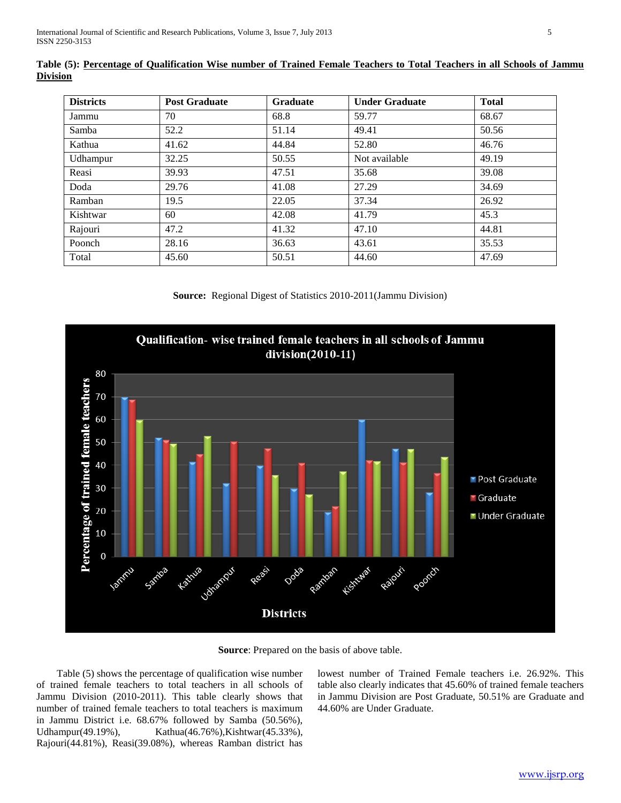| <b>Districts</b> | <b>Post Graduate</b> | <b>Graduate</b> | <b>Under Graduate</b> | <b>Total</b> |
|------------------|----------------------|-----------------|-----------------------|--------------|
| Jammu            | 70                   | 68.8            | 59.77                 | 68.67        |
| Samba            | 52.2                 | 51.14           | 49.41                 | 50.56        |
| Kathua           | 41.62                | 44.84           | 52.80                 | 46.76        |
| Udhampur         | 32.25                | 50.55           | Not available         | 49.19        |
| Reasi            | 39.93                | 47.51           | 35.68                 | 39.08        |
| Doda             | 29.76                | 41.08           | 27.29                 | 34.69        |
| Ramban           | 19.5                 | 22.05           | 37.34                 | 26.92        |
| Kishtwar         | 60                   | 42.08           | 41.79                 | 45.3         |
| Rajouri          | 47.2                 | 41.32           | 47.10                 | 44.81        |
| Poonch           | 28.16                | 36.63           | 43.61                 | 35.53        |
| Total            | 45.60                | 50.51           | 44.60                 | 47.69        |

**Table (5): Percentage of Qualification Wise number of Trained Female Teachers to Total Teachers in all Schools of Jammu Division**

**Source:** Regional Digest of Statistics 2010-2011(Jammu Division)



**Source**: Prepared on the basis of above table.

 Table (5) shows the percentage of qualification wise number of trained female teachers to total teachers in all schools of Jammu Division (2010-2011). This table clearly shows that number of trained female teachers to total teachers is maximum in Jammu District i.e. 68.67% followed by Samba (50.56%), Udhampur(49.19%), Kathua(46.76%), Kishtwar(45.33%), Rajouri(44.81%), Reasi(39.08%), whereas Ramban district has

lowest number of Trained Female teachers i.e. 26.92%. This table also clearly indicates that 45.60% of trained female teachers in Jammu Division are Post Graduate, 50.51% are Graduate and 44.60% are Under Graduate.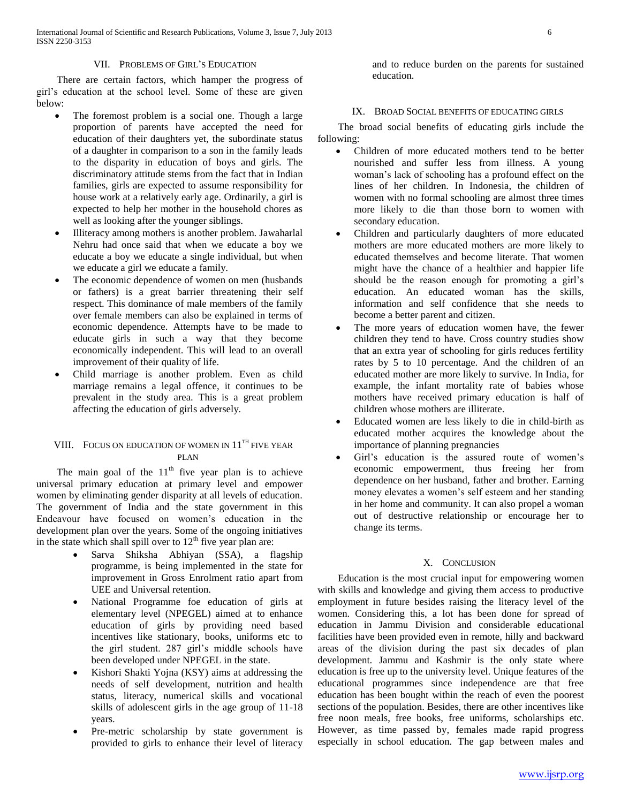#### VII. PROBLEMS OF GIRL'S EDUCATION

 There are certain factors, which hamper the progress of girl's education at the school level. Some of these are given below:

- The foremost problem is a social one. Though a large proportion of parents have accepted the need for education of their daughters yet, the subordinate status of a daughter in comparison to a son in the family leads to the disparity in education of boys and girls. The discriminatory attitude stems from the fact that in Indian families, girls are expected to assume responsibility for house work at a relatively early age. Ordinarily, a girl is expected to help her mother in the household chores as well as looking after the younger siblings.
- Illiteracy among mothers is another problem. Jawaharlal Nehru had once said that when we educate a boy we educate a boy we educate a single individual, but when we educate a girl we educate a family.
- The economic dependence of women on men (husbands or fathers) is a great barrier threatening their self respect. This dominance of male members of the family over female members can also be explained in terms of economic dependence. Attempts have to be made to educate girls in such a way that they become economically independent. This will lead to an overall improvement of their quality of life.
- Child marriage is another problem. Even as child marriage remains a legal offence, it continues to be prevalent in the study area. This is a great problem affecting the education of girls adversely.

# VIII. FOCUS ON EDUCATION OF WOMEN IN  $11^{TH}$  FIVE YEAR PLAN

The main goal of the  $11<sup>th</sup>$  five year plan is to achieve universal primary education at primary level and empower women by eliminating gender disparity at all levels of education. The government of India and the state government in this Endeavour have focused on women's education in the development plan over the years. Some of the ongoing initiatives in the state which shall spill over to  $12<sup>th</sup>$  five year plan are:

- Sarva Shiksha Abhiyan (SSA), a flagship programme, is being implemented in the state for improvement in Gross Enrolment ratio apart from UEE and Universal retention.
- National Programme foe education of girls at elementary level (NPEGEL) aimed at to enhance education of girls by providing need based incentives like stationary, books, uniforms etc to the girl student. 287 girl's middle schools have been developed under NPEGEL in the state.
- Kishori Shakti Yojna (KSY) aims at addressing the needs of self development, nutrition and health status, literacy, numerical skills and vocational skills of adolescent girls in the age group of 11-18 years.
- Pre-metric scholarship by state government is provided to girls to enhance their level of literacy

and to reduce burden on the parents for sustained education.

## IX. BROAD SOCIAL BENEFITS OF EDUCATING GIRLS

 The broad social benefits of educating girls include the following:

- Children of more educated mothers tend to be better nourished and suffer less from illness. A young woman's lack of schooling has a profound effect on the lines of her children. In Indonesia, the children of women with no formal schooling are almost three times more likely to die than those born to women with secondary education.
- Children and particularly daughters of more educated mothers are more educated mothers are more likely to educated themselves and become literate. That women might have the chance of a healthier and happier life should be the reason enough for promoting a girl's education. An educated woman has the skills, information and self confidence that she needs to become a better parent and citizen.
- The more years of education women have, the fewer children they tend to have. Cross country studies show that an extra year of schooling for girls reduces fertility rates by 5 to 10 percentage. And the children of an educated mother are more likely to survive. In India, for example, the infant mortality rate of babies whose mothers have received primary education is half of children whose mothers are illiterate.
- Educated women are less likely to die in child-birth as educated mother acquires the knowledge about the importance of planning pregnancies
- Girl's education is the assured route of women's economic empowerment, thus freeing her from dependence on her husband, father and brother. Earning money elevates a women's self esteem and her standing in her home and community. It can also propel a woman out of destructive relationship or encourage her to change its terms.

## X. CONCLUSION

 Education is the most crucial input for empowering women with skills and knowledge and giving them access to productive employment in future besides raising the literacy level of the women. Considering this, a lot has been done for spread of education in Jammu Division and considerable educational facilities have been provided even in remote, hilly and backward areas of the division during the past six decades of plan development. Jammu and Kashmir is the only state where education is free up to the university level. Unique features of the educational programmes since independence are that free education has been bought within the reach of even the poorest sections of the population. Besides, there are other incentives like free noon meals, free books, free uniforms, scholarships etc. However, as time passed by, females made rapid progress especially in school education. The gap between males and